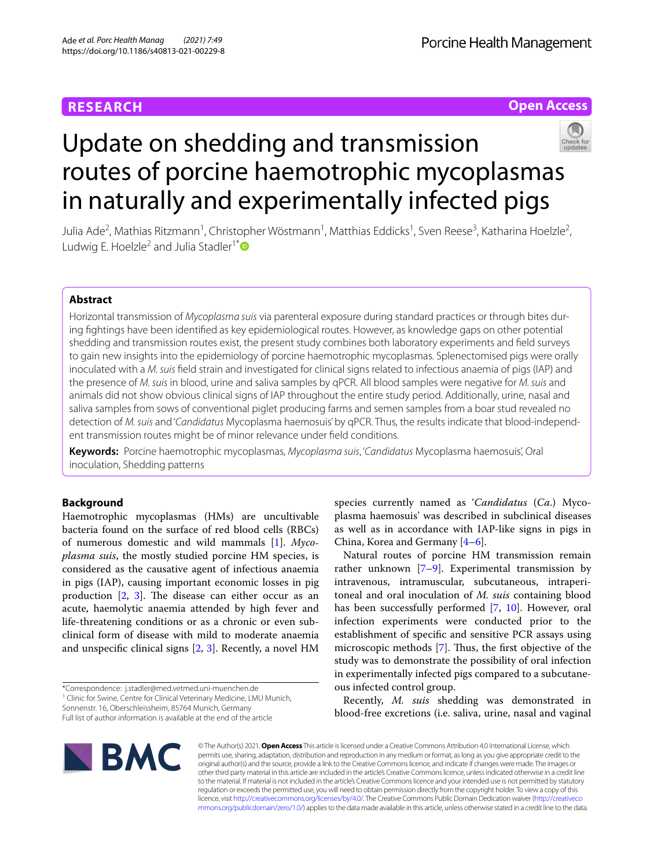## **RESEARCH**

**Open Access**

# Update on shedding and transmission routes of porcine haemotrophic mycoplasmas in naturally and experimentally infected pigs



Julia Ade<sup>2</sup>, Mathias Ritzmann<sup>1</sup>, Christopher Wöstmann<sup>1</sup>, Matthias Eddicks<sup>1</sup>, Sven Reese<sup>3</sup>, Katharina Hoelzle<sup>2</sup>, Ludwig E. Hoelzle<sup>2</sup> and Julia Stadler<sup>1[\\*](http://orcid.org/0000-0002-7626-2256)</sup><sup>®</sup>

## **Abstract**

Horizontal transmission of *Mycoplasma suis* via parenteral exposure during standard practices or through bites during fghtings have been identifed as key epidemiological routes. However, as knowledge gaps on other potential shedding and transmission routes exist, the present study combines both laboratory experiments and feld surveys to gain new insights into the epidemiology of porcine haemotrophic mycoplasmas. Splenectomised pigs were orally inoculated with a *M. suis* feld strain and investigated for clinical signs related to infectious anaemia of pigs (IAP) and the presence of *M. suis* in blood, urine and saliva samples by qPCR. All blood samples were negative for *M. suis* and animals did not show obvious clinical signs of IAP throughout the entire study period. Additionally, urine, nasal and saliva samples from sows of conventional piglet producing farms and semen samples from a boar stud revealed no detection of *M. suis* and '*Candidatus* Mycoplasma haemosuis' by qPCR. Thus, the results indicate that blood-independent transmission routes might be of minor relevance under feld conditions.

**Keywords:** Porcine haemotrophic mycoplasmas, *Mycoplasma suis*, '*Candidatus* Mycoplasma haemosuis', Oral inoculation, Shedding patterns

## **Background**

Haemotrophic mycoplasmas (HMs) are uncultivable bacteria found on the surface of red blood cells (RBCs) of numerous domestic and wild mammals [[1\]](#page-6-0). *Mycoplasma suis*, the mostly studied porcine HM species, is considered as the causative agent of infectious anaemia in pigs (IAP), causing important economic losses in pig production  $[2, 3]$  $[2, 3]$  $[2, 3]$  $[2, 3]$ . The disease can either occur as an acute, haemolytic anaemia attended by high fever and life-threatening conditions or as a chronic or even subclinical form of disease with mild to moderate anaemia and unspecific clinical signs  $[2, 3]$  $[2, 3]$  $[2, 3]$  $[2, 3]$ . Recently, a novel HM

<sup>1</sup> Clinic for Swine, Centre for Clinical Veterinary Medicine, LMU Munich,

Sonnenstr. 16, Oberschleissheim, 85764 Munich, Germany

Full list of author information is available at the end of the article



species currently named as '*Candidatus* (*Ca*.) Mycoplasma haemosuis' was described in subclinical diseases as well as in accordance with IAP-like signs in pigs in China, Korea and Germany [\[4](#page-6-3)[–6\]](#page-6-4).

Natural routes of porcine HM transmission remain rather unknown [\[7](#page-6-5)–[9\]](#page-6-6). Experimental transmission by intravenous, intramuscular, subcutaneous, intraperitoneal and oral inoculation of *M. suis* containing blood has been successfully performed [\[7](#page-6-5), [10\]](#page-6-7). However, oral infection experiments were conducted prior to the establishment of specifc and sensitive PCR assays using microscopic methods  $[7]$  $[7]$ . Thus, the first objective of the study was to demonstrate the possibility of oral infection in experimentally infected pigs compared to a subcutaneous infected control group.

Recently, *M. suis* shedding was demonstrated in blood-free excretions (i.e. saliva, urine, nasal and vaginal

© The Author(s) 2021. **Open Access** This article is licensed under a Creative Commons Attribution 4.0 International License, which permits use, sharing, adaptation, distribution and reproduction in any medium or format, as long as you give appropriate credit to the original author(s) and the source, provide a link to the Creative Commons licence, and indicate if changes were made. The images or other third party material in this article are included in the article's Creative Commons licence, unless indicated otherwise in a credit line to the material. If material is not included in the article's Creative Commons licence and your intended use is not permitted by statutory regulation or exceeds the permitted use, you will need to obtain permission directly from the copyright holder. To view a copy of this licence, visit [http://creativecommons.org/licenses/by/4.0/.](http://creativecommons.org/licenses/by/4.0/) The Creative Commons Public Domain Dedication waiver ([http://creativeco](http://creativecommons.org/publicdomain/zero/1.0/) [mmons.org/publicdomain/zero/1.0/](http://creativecommons.org/publicdomain/zero/1.0/)) applies to the data made available in this article, unless otherwise stated in a credit line to the data.

<sup>\*</sup>Correspondence: j.stadler@med.vetmed.uni-muenchen.de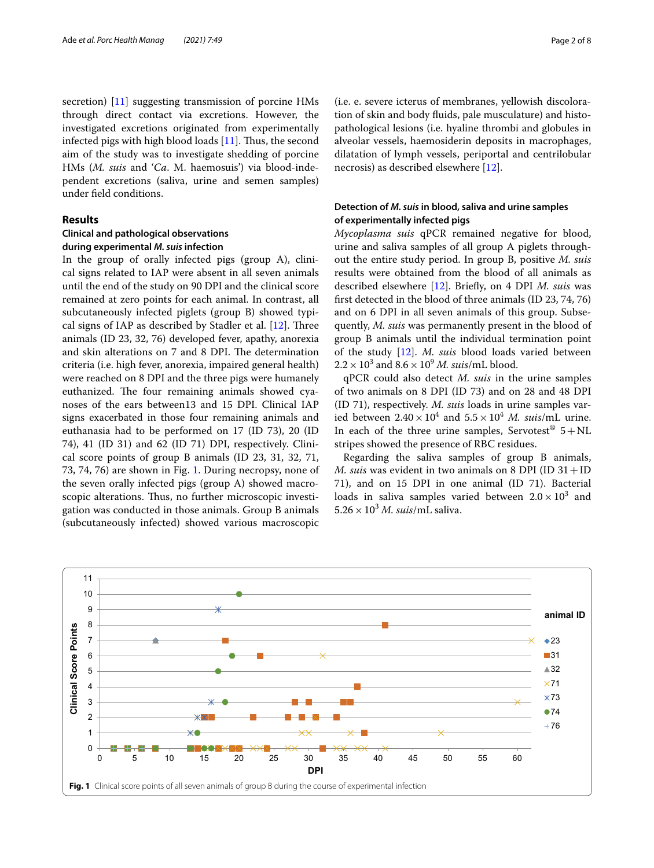secretion) [\[11](#page-6-8)] suggesting transmission of porcine HMs through direct contact via excretions. However, the investigated excretions originated from experimentally infected pigs with high blood loads  $[11]$  $[11]$ . Thus, the second aim of the study was to investigate shedding of porcine HMs (*M. suis* and '*Ca*. M. haemosuis') via blood-independent excretions (saliva, urine and semen samples) under feld conditions.

## **Results**

## **Clinical and pathological observations during experimental** *M. suis* **infection**

In the group of orally infected pigs (group A), clinical signs related to IAP were absent in all seven animals until the end of the study on 90 DPI and the clinical score remained at zero points for each animal. In contrast, all subcutaneously infected piglets (group B) showed typical signs of IAP as described by Stadler et al.  $[12]$  $[12]$ . Three animals (ID 23, 32, 76) developed fever, apathy, anorexia and skin alterations on 7 and 8 DPI. The determination criteria (i.e. high fever, anorexia, impaired general health) were reached on 8 DPI and the three pigs were humanely euthanized. The four remaining animals showed cyanoses of the ears between13 and 15 DPI. Clinical IAP signs exacerbated in those four remaining animals and euthanasia had to be performed on 17 (ID 73), 20 (ID 74), 41 (ID 31) and 62 (ID 71) DPI, respectively. Clinical score points of group B animals (ID 23, 31, 32, 71, 73, 74, 76) are shown in Fig. [1.](#page-1-0) During necropsy, none of the seven orally infected pigs (group A) showed macroscopic alterations. Thus, no further microscopic investigation was conducted in those animals. Group B animals (subcutaneously infected) showed various macroscopic

(i.e. e. severe icterus of membranes, yellowish discoloration of skin and body fuids, pale musculature) and histopathological lesions (i.e. hyaline thrombi and globules in alveolar vessels, haemosiderin deposits in macrophages, dilatation of lymph vessels, periportal and centrilobular necrosis) as described elsewhere [[12](#page-6-9)].

## **Detection of** *M. suis* **in blood, saliva and urine samples of experimentally infected pigs**

*Mycoplasma suis* qPCR remained negative for blood, urine and saliva samples of all group A piglets throughout the entire study period. In group B, positive *M. suis* results were obtained from the blood of all animals as described elsewhere [\[12](#page-6-9)]. Briefy, on 4 DPI *M. suis* was frst detected in the blood of three animals (ID 23, 74, 76) and on 6 DPI in all seven animals of this group. Subsequently, *M. suis* was permanently present in the blood of group B animals until the individual termination point of the study [[12\]](#page-6-9). *M. suis* blood loads varied between  $2.2 \times 10^3$  and  $8.6 \times 10^9$  *M. suis*/mL blood.

qPCR could also detect *M. suis* in the urine samples of two animals on 8 DPI (ID 73) and on 28 and 48 DPI (ID 71), respectively. *M. suis* loads in urine samples varied between  $2.40 \times 10^4$  and  $5.5 \times 10^4$  *M. suis*/mL urine. In each of the three urine samples, Servotest<sup>®</sup>  $5+NL$ stripes showed the presence of RBC residues.

Regarding the saliva samples of group B animals, *M. suis* was evident in two animals on 8 DPI (ID 31+ID 71), and on 15 DPI in one animal (ID 71). Bacterial loads in saliva samples varied between  $2.0 \times 10^3$  and  $5.26 \times 10^3$  *M. suis*/mL saliva.

<span id="page-1-0"></span>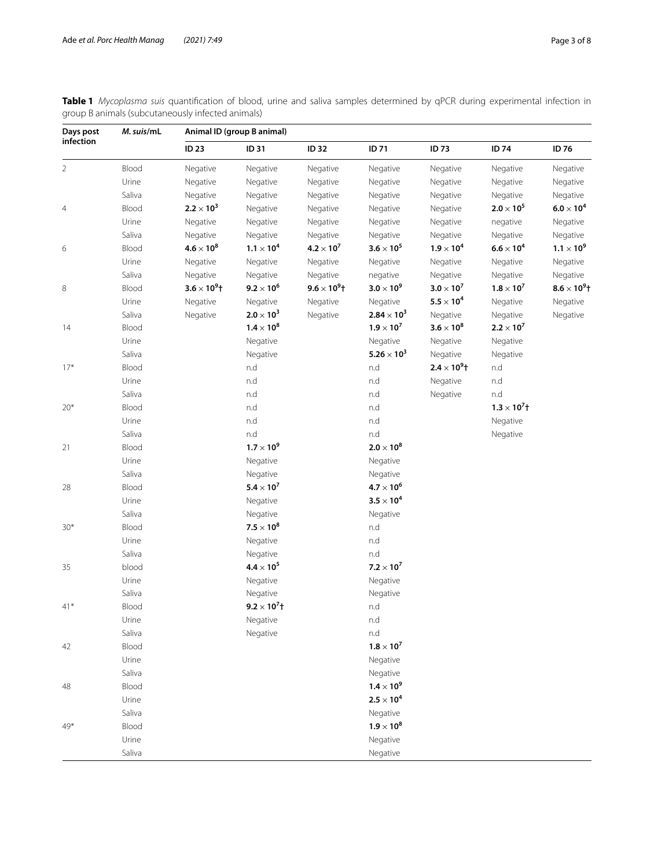<span id="page-2-0"></span>**Table 1** *Mycoplasma suis* quantifcation of blood, urine and saliva samples determined by qPCR during experimental infection in group B animals (subcutaneously infected animals)

| Days post<br>infection | M. suis/mL | Animal ID (group B animal) |                                  |                     |                     |                       |                       |                     |  |
|------------------------|------------|----------------------------|----------------------------------|---------------------|---------------------|-----------------------|-----------------------|---------------------|--|
|                        |            | <b>ID 23</b>               | <b>ID31</b>                      | <b>ID 32</b>        | <b>ID 71</b>        | <b>ID73</b>           | ID 74                 | ID 76               |  |
| $\overline{2}$         | Blood      | Negative                   | Negative                         | Negative            | Negative            | Negative              | Negative              | Negative            |  |
|                        | Urine      | Negative                   | Negative                         | Negative            | Negative            | Negative              | Negative              | Negative            |  |
|                        | Saliva     | Negative                   | Negative                         | Negative            | Negative            | Negative              | Negative              | Negative            |  |
| $\overline{4}$         | Blood      | $2.2 \times 10^{3}$        | Negative                         | Negative            | Negative            | Negative              | $2.0 \times 10^5$     | $6.0 \times 10^4$   |  |
|                        | Urine      | Negative                   | Negative                         | Negative            | Negative            | Negative              | negative              | Negative            |  |
|                        | Saliva     | Negative                   | Negative                         | Negative            | Negative            | Negative              | Negative              | Negative            |  |
| 6                      | Blood      | $4.6 \times 10^8$          | $1.1 \times 10^{4}$              | $4.2 \times 10^7$   | $3.6 \times 10^5$   | $1.9 \times 10^4$     | $6.6 \times 10^4$     | $1.1 \times 10^9$   |  |
|                        | Urine      | Negative                   | Negative                         | Negative            | Negative            | Negative              | Negative              | Negative            |  |
|                        | Saliva     | Negative                   | Negative                         | Negative            | negative            | Negative              | Negative              | Negative            |  |
| 8                      | Blood      | $3.6 \times 10^{9}$ t      | $9.2 \times 10^6$                | $9.6 \times 10^9$ t | $3.0 \times 10^9$   | $3.0 \times 10^7$     | $1.8 \times 10^7$     | $8.6 \times 10^9$ t |  |
|                        | Urine      | Negative                   | Negative                         | Negative            | Negative            | $5.5 \times 10^4$     | Negative              | Negative            |  |
|                        | Saliva     | Negative                   | $2.0 \times 10^3$                | Negative            | $2.84 \times 10^3$  | Negative              | Negative              | Negative            |  |
| 14                     | Blood      |                            | $1.4\times10^8$                  |                     | $1.9 \times 10^7$   | $3.6 \times 10^8$     | $2.2 \times 10^7$     |                     |  |
|                        | Urine      |                            | Negative                         |                     | Negative            | Negative              | Negative              |                     |  |
|                        | Saliva     |                            | Negative                         |                     | $5.26 \times 10^3$  | Negative              | Negative              |                     |  |
| $17*$                  | Blood      |                            | n.d                              |                     | n.d                 | $2.4 \times 10^{9}$ t | n.d                   |                     |  |
|                        | Urine      |                            | n.d                              |                     | n.d                 | Negative              | n.d                   |                     |  |
|                        | Saliva     |                            | n.d                              |                     | n.d                 | Negative              | n.d                   |                     |  |
| $20*$                  | Blood      |                            | n.d                              |                     | n.d                 |                       | $1.3 \times 10^{7}$ † |                     |  |
|                        | Urine      |                            | n.d                              |                     | n.d                 |                       | Negative              |                     |  |
|                        | Saliva     |                            | n.d                              |                     | n.d                 |                       | Negative              |                     |  |
| 21                     | Blood      |                            | $1.7 \times 10^9$                |                     | $2.0\times10^8$     |                       |                       |                     |  |
|                        | Urine      |                            | Negative                         |                     | Negative            |                       |                       |                     |  |
|                        | Saliva     |                            | Negative                         |                     | Negative            |                       |                       |                     |  |
| 28                     | Blood      |                            | $5.4 \times 10^7$                |                     | $4.7\times10^6$     |                       |                       |                     |  |
|                        | Urine      |                            | Negative                         |                     | $3.5\times10^4$     |                       |                       |                     |  |
|                        | Saliva     |                            | Negative                         |                     | Negative            |                       |                       |                     |  |
| $30*$                  | Blood      |                            | $7.5 \times 10^8$                |                     | n.d                 |                       |                       |                     |  |
|                        | Urine      |                            | Negative                         |                     | n.d                 |                       |                       |                     |  |
|                        | Saliva     |                            | Negative                         |                     | n.d                 |                       |                       |                     |  |
| 35                     | blood      |                            | $4.4 \times 10^5$                |                     | $7.2 \times 10^{7}$ |                       |                       |                     |  |
|                        | Urine      |                            | Negative                         |                     | Negative            |                       |                       |                     |  |
|                        | Saliva     |                            | Negative                         |                     | Negative            |                       |                       |                     |  |
| $41*$                  | Blood      |                            | $9.2 \times 10^{7}$ <sup>+</sup> |                     | n.d                 |                       |                       |                     |  |
|                        | Urine      |                            | Negative                         |                     | n.d                 |                       |                       |                     |  |
|                        | Saliva     |                            | Negative                         |                     | n.d                 |                       |                       |                     |  |
| 42                     | Blood      |                            |                                  |                     | $1.8 \times 10^7$   |                       |                       |                     |  |
|                        | Urine      |                            |                                  |                     | Negative            |                       |                       |                     |  |
|                        | Saliva     |                            |                                  |                     | Negative            |                       |                       |                     |  |
| 48<br>49*              | Blood      |                            |                                  |                     | $1.4\times10^9$     |                       |                       |                     |  |
|                        | Urine      |                            |                                  |                     | $2.5\times10^4$     |                       |                       |                     |  |
|                        | Saliva     |                            |                                  |                     | Negative            |                       |                       |                     |  |
|                        | Blood      |                            |                                  |                     | $1.9\times10^8$     |                       |                       |                     |  |
|                        | Urine      |                            |                                  |                     | Negative            |                       |                       |                     |  |
|                        | Saliva     |                            |                                  |                     | Negative            |                       |                       |                     |  |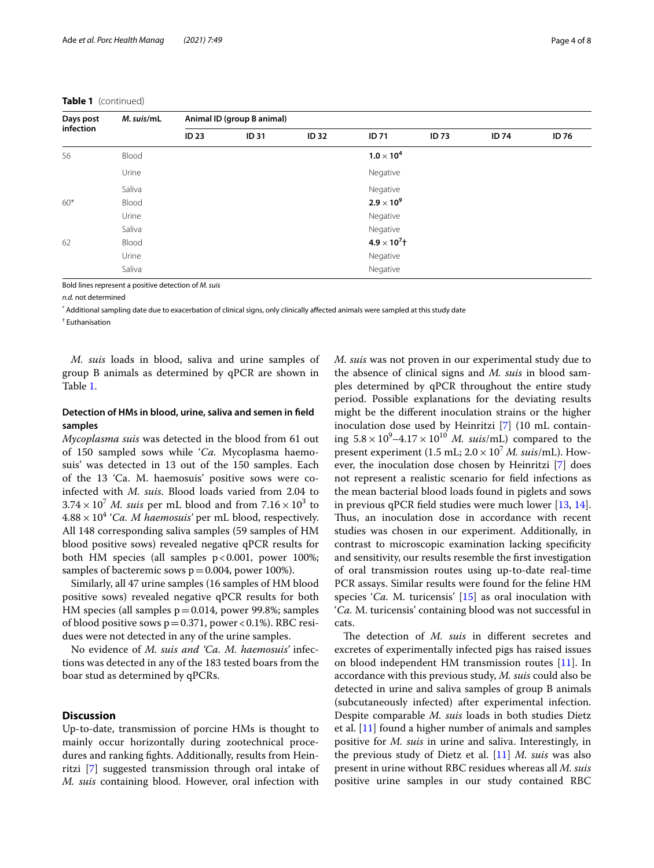## **Table 1** (continued)

| Days post<br>infection | M. suis/mL | Animal ID (group B animal) |              |              |                       |              |              |              |  |
|------------------------|------------|----------------------------|--------------|--------------|-----------------------|--------------|--------------|--------------|--|
|                        |            | <b>ID 23</b>               | <b>ID 31</b> | <b>ID 32</b> | <b>ID 71</b>          | <b>ID 73</b> | <b>ID 74</b> | <b>ID 76</b> |  |
| 56                     | Blood      |                            |              |              | $1.0 \times 10^4$     |              |              |              |  |
|                        | Urine      |                            |              |              | Negative              |              |              |              |  |
|                        | Saliva     |                            |              |              | Negative              |              |              |              |  |
| $60*$                  | Blood      |                            |              |              | $2.9 \times 10^9$     |              |              |              |  |
|                        | Urine      |                            |              |              | Negative              |              |              |              |  |
|                        | Saliva     |                            |              |              | Negative              |              |              |              |  |
| 62                     | Blood      |                            |              |              | $4.9 \times 10^{7}$ † |              |              |              |  |
|                        | Urine      |                            |              |              | Negative              |              |              |              |  |
|                        | Saliva     |                            |              | Negative     |                       |              |              |              |  |

Bold lines represent a positive detection of *M. suis*

*n.d.* not determined

\* Additional sampling date due to exacerbation of clinical signs, only clinically afected animals were sampled at this study date

† Euthanisation

*M. suis* loads in blood, saliva and urine samples of group B animals as determined by qPCR are shown in Table [1](#page-2-0).

## **Detection of HMs in blood, urine, saliva and semen in feld samples**

*Mycoplasma suis* was detected in the blood from 61 out of 150 sampled sows while '*Ca.* Mycoplasma haemosuis' was detected in 13 out of the 150 samples. Each of the 13 'Ca. M. haemosuis' positive sows were coinfected with *M. suis*. Blood loads varied from 2.04 to  $3.74 \times 10^7$  *M. suis* per mL blood and from  $7.16 \times 10^3$  to  $4.88 \times 10^4$  *'Ca. M haemosuis'* per mL blood, respectively. All 148 corresponding saliva samples (59 samples of HM blood positive sows) revealed negative qPCR results for both HM species (all samples  $p < 0.001$ , power 100%; samples of bacteremic sows  $p = 0.004$ , power 100%).

Similarly, all 47 urine samples (16 samples of HM blood positive sows) revealed negative qPCR results for both HM species (all samples  $p=0.014$ , power 99.8%; samples of blood positive sows  $p=0.371$ , power <0.1%). RBC residues were not detected in any of the urine samples.

No evidence of *M. suis and 'Ca. M. haemosuis'* infections was detected in any of the 183 tested boars from the boar stud as determined by qPCRs.

## **Discussion**

Up-to-date, transmission of porcine HMs is thought to mainly occur horizontally during zootechnical procedures and ranking fghts. Additionally, results from Heinritzi [\[7](#page-6-5)] suggested transmission through oral intake of *M. suis* containing blood. However, oral infection with *M. suis* was not proven in our experimental study due to the absence of clinical signs and *M. suis* in blood samples determined by qPCR throughout the entire study period. Possible explanations for the deviating results might be the diferent inoculation strains or the higher inoculation dose used by Heinritzi [[7\]](#page-6-5) (10 mL containing  $5.8 \times 10^9 - 4.17 \times 10^{10}$  *M. suis*/mL) compared to the present experiment (1.5 mL;  $2.0 \times 10^7$  *M. suis*/mL). However, the inoculation dose chosen by Heinritzi [[7\]](#page-6-5) does not represent a realistic scenario for feld infections as the mean bacterial blood loads found in piglets and sows in previous qPCR feld studies were much lower [[13](#page-6-10), [14](#page-6-11)]. Thus, an inoculation dose in accordance with recent studies was chosen in our experiment. Additionally, in contrast to microscopic examination lacking specifcity and sensitivity, our results resemble the frst investigation of oral transmission routes using up-to-date real-time PCR assays. Similar results were found for the feline HM species '*Ca*. M. turicensis' [\[15](#page-6-12)] as oral inoculation with '*Ca.* M. turicensis' containing blood was not successful in cats.

The detection of *M. suis* in different secretes and excretes of experimentally infected pigs has raised issues on blood independent HM transmission routes [[11\]](#page-6-8). In accordance with this previous study, *M. suis* could also be detected in urine and saliva samples of group B animals (subcutaneously infected) after experimental infection. Despite comparable *M. suis* loads in both studies Dietz et al. [\[11\]](#page-6-8) found a higher number of animals and samples positive for *M. suis* in urine and saliva. Interestingly, in the previous study of Dietz et al. [\[11](#page-6-8)] *M. suis* was also present in urine without RBC residues whereas all *M. suis* positive urine samples in our study contained RBC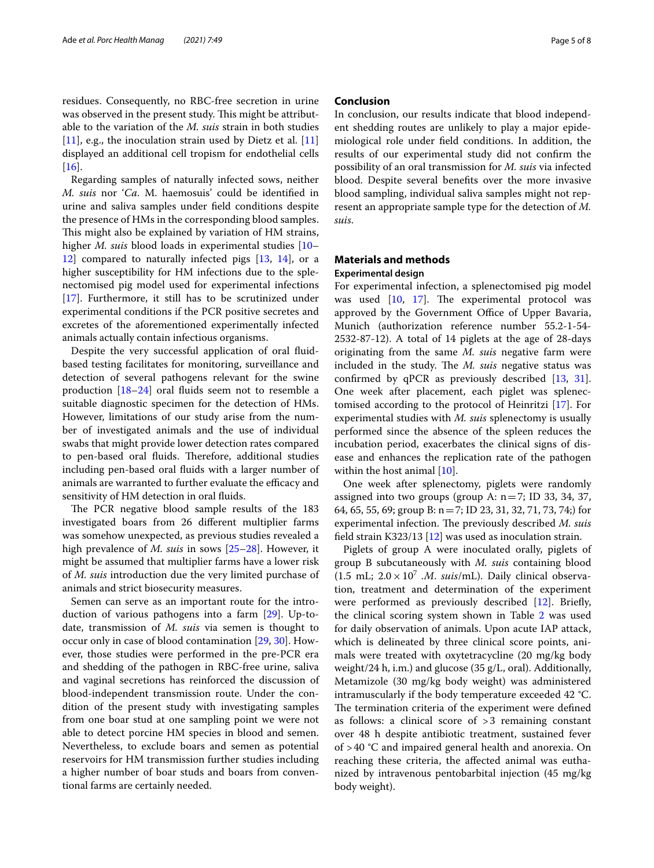residues. Consequently, no RBC-free secretion in urine was observed in the present study. This might be attributable to the variation of the *M. suis* strain in both studies  $[11]$  $[11]$ , e.g., the inoculation strain used by Dietz et al.  $[11]$  $[11]$  $[11]$ displayed an additional cell tropism for endothelial cells  $[16]$  $[16]$ .

Regarding samples of naturally infected sows, neither *M. suis* nor '*Ca*. M. haemosuis' could be identifed in urine and saliva samples under feld conditions despite the presence of HMs in the corresponding blood samples. This might also be explained by variation of HM strains, higher *M. suis* blood loads in experimental studies [[10–](#page-6-7) [12\]](#page-6-9) compared to naturally infected pigs [[13,](#page-6-10) [14](#page-6-11)], or a higher susceptibility for HM infections due to the splenectomised pig model used for experimental infections [[17\]](#page-6-14). Furthermore, it still has to be scrutinized under experimental conditions if the PCR positive secretes and excretes of the aforementioned experimentally infected animals actually contain infectious organisms.

Despite the very successful application of oral fuidbased testing facilitates for monitoring, surveillance and detection of several pathogens relevant for the swine production [[18–](#page-6-15)[24](#page-6-16)] oral fuids seem not to resemble a suitable diagnostic specimen for the detection of HMs. However, limitations of our study arise from the number of investigated animals and the use of individual swabs that might provide lower detection rates compared to pen-based oral fluids. Therefore, additional studies including pen-based oral fuids with a larger number of animals are warranted to further evaluate the efficacy and sensitivity of HM detection in oral fuids.

The PCR negative blood sample results of the 183 investigated boars from 26 diferent multiplier farms was somehow unexpected, as previous studies revealed a high prevalence of *M. suis* in sows [\[25](#page-6-17)[–28\]](#page-6-18). However, it might be assumed that multiplier farms have a lower risk of *M. suis* introduction due the very limited purchase of animals and strict biosecurity measures.

Semen can serve as an important route for the introduction of various pathogens into a farm [[29\]](#page-6-19). Up-todate, transmission of *M. suis* via semen is thought to occur only in case of blood contamination [[29,](#page-6-19) [30](#page-7-0)]. However, those studies were performed in the pre-PCR era and shedding of the pathogen in RBC-free urine, saliva and vaginal secretions has reinforced the discussion of blood-independent transmission route. Under the condition of the present study with investigating samples from one boar stud at one sampling point we were not able to detect porcine HM species in blood and semen. Nevertheless, to exclude boars and semen as potential reservoirs for HM transmission further studies including a higher number of boar studs and boars from conventional farms are certainly needed.

## **Conclusion**

In conclusion, our results indicate that blood independent shedding routes are unlikely to play a major epidemiological role under feld conditions. In addition, the results of our experimental study did not confrm the possibility of an oral transmission for *M. suis* via infected blood. Despite several benefts over the more invasive blood sampling, individual saliva samples might not represent an appropriate sample type for the detection of *M. suis*.

## **Materials and methods**

## **Experimental design**

For experimental infection, a splenectomised pig model was used  $[10, 17]$  $[10, 17]$  $[10, 17]$  $[10, 17]$ . The experimental protocol was approved by the Government Office of Upper Bavaria, Munich (authorization reference number 55.2-1-54- 2532-87-12). A total of 14 piglets at the age of 28-days originating from the same *M. suis* negative farm were included in the study. The *M. suis* negative status was confrmed by qPCR as previously described [[13,](#page-6-10) [31](#page-7-1)]. One week after placement, each piglet was splenectomised according to the protocol of Heinritzi [\[17\]](#page-6-14). For experimental studies with *M. suis* splenectomy is usually performed since the absence of the spleen reduces the incubation period, exacerbates the clinical signs of disease and enhances the replication rate of the pathogen within the host animal [[10\]](#page-6-7).

One week after splenectomy, piglets were randomly assigned into two groups (group A:  $n=7$ ; ID 33, 34, 37, 64, 65, 55, 69; group B: n=7; ID 23, 31, 32, 71, 73, 74;) for experimental infection. The previously described *M. suis* feld strain K323/13 [[12](#page-6-9)] was used as inoculation strain.

Piglets of group A were inoculated orally, piglets of group B subcutaneously with *M. suis* containing blood (1.5 mL;  $2.0 \times 10^7$  *.M. suis*/mL). Daily clinical observation, treatment and determination of the experiment were performed as previously described [\[12](#page-6-9)]. Briefy, the clinical scoring system shown in Table [2](#page-5-0) was used for daily observation of animals. Upon acute IAP attack, which is delineated by three clinical score points, animals were treated with oxytetracycline (20 mg/kg body weight/24 h, i.m.) and glucose (35 g/L, oral). Additionally, Metamizole (30 mg/kg body weight) was administered intramuscularly if the body temperature exceeded 42 °C. The termination criteria of the experiment were defined as follows: a clinical score of >3 remaining constant over 48 h despite antibiotic treatment, sustained fever of >40 °C and impaired general health and anorexia. On reaching these criteria, the afected animal was euthanized by intravenous pentobarbital injection (45 mg/kg body weight).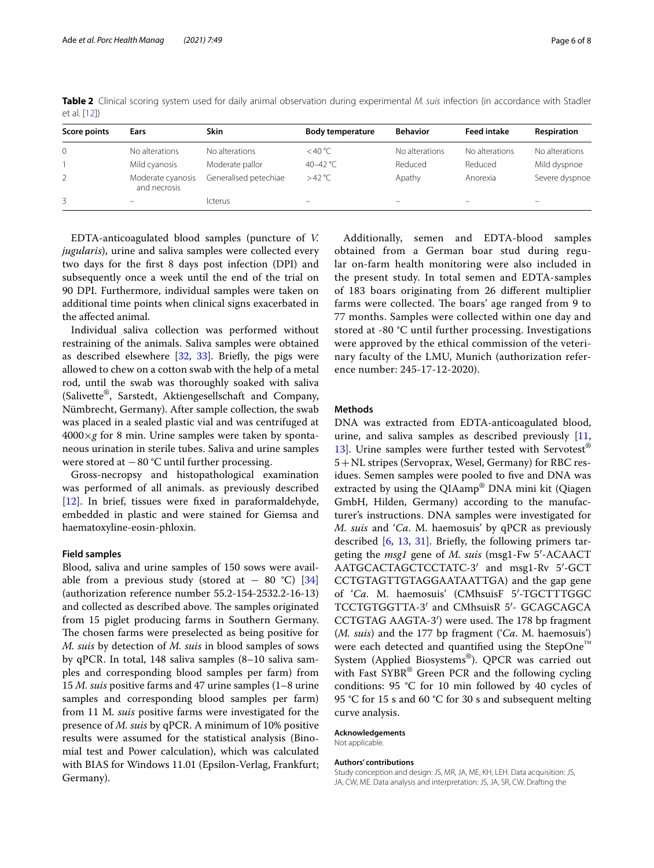| Score points  | Ears                              | <b>Skin</b>           | <b>Body temperature</b>  | <b>Behavior</b>          | <b>Feed intake</b> | Respiration    |
|---------------|-----------------------------------|-----------------------|--------------------------|--------------------------|--------------------|----------------|
| 0             | No alterations                    | No alterations        | $<$ 40 °C                | No alterations           | No alterations     | No alterations |
|               | Mild cyanosis                     | Moderate pallor       | 40-42 °C                 | Reduced                  | Reduced            | Mild dyspnoe   |
| $\mathcal{P}$ | Moderate cyanosis<br>and necrosis | Generalised petechiae | >42 °C                   | Apathy                   | Anorexia           | Severe dyspnoe |
|               |                                   | <b>Icterus</b>        | $\overline{\phantom{0}}$ | $\overline{\phantom{0}}$ | –                  | -              |

<span id="page-5-0"></span>**Table 2** Clinical scoring system used for daily animal observation during experimental *M. suis* infection (in accordance with Stadler et al. [[12](#page-6-9)])

EDTA-anticoagulated blood samples (puncture of *V. jugularis*), urine and saliva samples were collected every two days for the frst 8 days post infection (DPI) and subsequently once a week until the end of the trial on 90 DPI. Furthermore, individual samples were taken on additional time points when clinical signs exacerbated in the afected animal.

Individual saliva collection was performed without restraining of the animals. Saliva samples were obtained as described elsewhere [\[32](#page-7-2), [33\]](#page-7-3). Briefy, the pigs were allowed to chew on a cotton swab with the help of a metal rod, until the swab was thoroughly soaked with saliva (Salivette®, Sarstedt, Aktiengesellschaft and Company, Nümbrecht, Germany). After sample collection, the swab was placed in a sealed plastic vial and was centrifuged at  $4000 \times g$  for 8 min. Urine samples were taken by spontaneous urination in sterile tubes. Saliva and urine samples were stored at  $-80$  °C until further processing.

Gross-necropsy and histopathological examination was performed of all animals. as previously described [[12\]](#page-6-9). In brief, tissues were fxed in paraformaldehyde, embedded in plastic and were stained for Giemsa and haematoxyline-eosin-phloxin.

#### **Field samples**

Blood, saliva and urine samples of 150 sows were available from a previous study (stored at  $-$  80 °C) [[34](#page-7-4)] (authorization reference number 55.2-154-2532.2-16-13) and collected as described above. The samples originated from 15 piglet producing farms in Southern Germany. The chosen farms were preselected as being positive for *M. suis* by detection of *M. suis* in blood samples of sows by qPCR. In total, 148 saliva samples (8–10 saliva samples and corresponding blood samples per farm) from 15 *M. suis* positive farms and 47 urine samples (1–8 urine samples and corresponding blood samples per farm) from 11 M*. suis* positive farms were investigated for the presence of *M. suis* by qPCR. A minimum of 10% positive results were assumed for the statistical analysis (Binomial test and Power calculation), which was calculated with BIAS for Windows 11.01 (Epsilon-Verlag, Frankfurt; Germany).

Additionally, semen and EDTA-blood samples obtained from a German boar stud during regular on-farm health monitoring were also included in the present study. In total semen and EDTA-samples of 183 boars originating from 26 diferent multiplier farms were collected. The boars' age ranged from 9 to 77 months. Samples were collected within one day and stored at -80 °C until further processing. Investigations were approved by the ethical commission of the veterinary faculty of the LMU, Munich (authorization reference number: 245-17-12-2020).

## **Methods**

DNA was extracted from EDTA-anticoagulated blood, urine, and saliva samples as described previously  $[11, 12]$  $[11, 12]$  $[11, 12]$ [13\]](#page-6-10). Urine samples were further tested with Servotest<sup>®</sup> 5+NL stripes (Servoprax, Wesel, Germany) for RBC residues. Semen samples were pooled to five and DNA was extracted by using the QIAamp<sup>®</sup> DNA mini kit (Qiagen GmbH, Hilden, Germany) according to the manufacturer's instructions. DNA samples were investigated for *M. suis* and '*Ca*. M. haemosuis' by qPCR as previously described  $[6, 13, 31]$  $[6, 13, 31]$  $[6, 13, 31]$  $[6, 13, 31]$  $[6, 13, 31]$ . Briefly, the following primers targeting the *msg1* gene of *M. suis* (msg1-Fw 5′-ACAACT AATGCACTAGCTCCTATC-3′ and msg1-Rv 5′-GCT CCTGTAGTTGTAGGAATAATTGA) and the gap gene of '*Ca*. M. haemosuis' (CMhsuisF 5′-TGCTTTGGC TCCTGTGGTTA-3′ and CMhsuisR 5′- GCAGCAGCA CCTGTAG AAGTA-3') were used. The 178 bp fragment (*M. suis*) and the 177 bp fragment ('*Ca*. M. haemosuis') were each detected and quantified using the StepOne™ System (Applied Biosystems®). QPCR was carried out with Fast SYBR<sup>®</sup> Green PCR and the following cycling conditions: 95 °C for 10 min followed by 40 cycles of 95 °C for 15 s and 60 °C for 30 s and subsequent melting curve analysis.

#### **Acknowledgements**

Not applicable.

#### **Authors' contributions**

Study conception and design: JS, MR, JA, ME, KH, LEH. Data acquisition: JS, JA, CW, ME. Data analysis and interpretation: JS, JA, SR, CW. Drafting the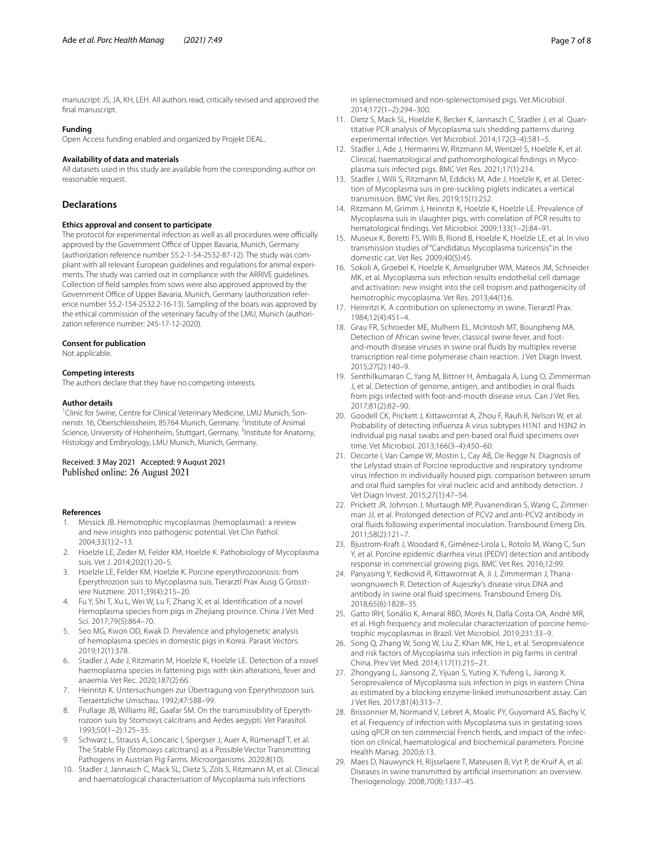manuscript: JS, JA, KH, LEH. All authors read, critically revised and approved the final manuscript.

## **Funding**

Open Access funding enabled and organized by Projekt DEAL.

#### **Availability of data and materials**

All datasets used in this study are available from the corresponding author on reasonable request.

#### **Declarations**

#### **Ethics approval and consent to participate**

The protocol for experimental infection as well as all procedures were officially approved by the Government Office of Upper Bavaria, Munich, Germany (authorization reference number 55.2-1-54-2532-87-12). The study was compliant with all relevant European guidelines and regulations for animal experiments. The study was carried out in compliance with the ARRIVE guidelines. Collection of feld samples from sows were also approved approved by the Government Office of Upper Bavaria, Munich, Germany (authorization reference number 55.2-154-2532.2-16-13). Sampling of the boars was approved by the ethical commission of the veterinary faculty of the LMU, Munich (authorization reference number: 245-17-12-2020).

#### **Consent for publication**

Not applicable.

#### **Competing interests**

The authors declare that they have no competing interests.

#### **Author details**

<sup>1</sup> Clinic for Swine, Centre for Clinical Veterinary Medicine, LMU Munich, Sonnenstr. 16, Oberschleissheim, 85764 Munich, Germany. <sup>2</sup>Institute of Animal Science, University of Hohenheim, Stuttgart, Germany. <sup>3</sup>Institute for Anatomy, Histology and Embryology, LMU Munich, Munich, Germany.

## Received: 3 May 2021 Accepted: 9 August 2021<br>Published online: 26 August 2021

#### **References**

- <span id="page-6-0"></span>1. Messick JB. Hemotrophic mycoplasmas (hemoplasmas): a review and new insights into pathogenic potential. Vet Clin Pathol. 2004;33(1):2–13.
- <span id="page-6-1"></span>2. Hoelzle LE, Zeder M, Felder KM, Hoelzle K. Pathobiology of Mycoplasma suis. Vet J. 2014;202(1):20–5.
- <span id="page-6-2"></span>3. Hoelzle LE, Felder KM, Hoelzle K. Porcine eperythrozoonosis: from Eperythrozoon suis to Mycoplasma suis. Tierarztl Prax Ausg G Grosstiere Nutztiere. 2011;39(4):215–20.
- <span id="page-6-3"></span>4. Fu Y, Shi T, Xu L, Wei W, Lu F, Zhang X, et al. Identifcation of a novel Hemoplasma species from pigs in Zhejiang province. China J Vet Med Sci. 2017;79(5):864–70.
- 5. Seo MG, Kwon OD, Kwak D. Prevalence and phylogenetic analysis of hemoplasma species in domestic pigs in Korea. Parasit Vectors. 2019;12(1):378.
- <span id="page-6-4"></span>6. Stadler J, Ade J, Ritzmann M, Hoelzle K, Hoelzle LE. Detection of a novel haemoplasma species in fattening pigs with skin alterations, fever and anaemia. Vet Rec. 2020;187(2):66.
- <span id="page-6-5"></span>7. Heinritzi K. Untersuchungen zur Übertragung von Eperythrozoon suis. Tieraertzliche Umschau. 1992;47:588–99.
- 8. Prullage JB, Williams RE, Gaafar SM. On the transmissibility of Eperythrozoon suis by Stomoxys calcitrans and Aedes aegypti. Vet Parasitol. 1993;50(1–2):125–35.
- <span id="page-6-6"></span>9. Schwarz L, Strauss A, Loncaric I, Spergser J, Auer A, Rümenapf T, et al. The Stable Fly (Stomoxys calcitrans) as a Possible Vector Transmitting Pathogens in Austrian Pig Farms. Microorganisms. 2020;8(10).
- <span id="page-6-7"></span>10. Stadler J, Jannasch C, Mack SL, Dietz S, Zöls S, Ritzmann M, et al. Clinical and haematological characterisation of Mycoplasma suis infections

in splenectomised and non-splenectomised pigs. Vet Microbiol. 2014;172(1–2):294–300.

- <span id="page-6-8"></span>11. Dietz S, Mack SL, Hoelzle K, Becker K, Jannasch C, Stadler J, et al. Quantitative PCR analysis of Mycoplasma suis shedding patterns during experimental infection. Vet Microbiol. 2014;172(3–4):581–5.
- <span id="page-6-9"></span>12. Stadler J, Ade J, Hermanns W, Ritzmann M, Wentzel S, Hoelzle K, et al. Clinical, haematological and pathomorphological fndings in Mycoplasma suis infected pigs. BMC Vet Res. 2021;17(1):214.
- <span id="page-6-10"></span>13. Stadler J, Willi S, Ritzmann M, Eddicks M, Ade J, Hoelzle K, et al. Detection of Mycoplasma suis in pre-suckling piglets indicates a vertical transmission. BMC Vet Res. 2019;15(1):252.
- <span id="page-6-11"></span>14. Ritzmann M, Grimm J, Heinritzi K, Hoelzle K, Hoelzle LE. Prevalence of Mycoplasma suis in slaughter pigs, with correlation of PCR results to hematological fndings. Vet Microbiol. 2009;133(1–2):84–91.
- <span id="page-6-12"></span>15. Museux K, Boretti FS, Willi B, Riond B, Hoelzle K, Hoelzle LE, et al. In vivo transmission studies of "Candidatus Mycoplasma turicensis" in the domestic cat. Vet Res. 2009;40(5):45.
- <span id="page-6-13"></span>16. Sokoli A, Groebel K, Hoelzle K, Amselgruber WM, Mateos JM, Schneider MK, et al. Mycoplasma suis infection results endothelial cell damage and activation: new insight into the cell tropism and pathogenicity of hemotrophic mycoplasma. Vet Res. 2013;44(1):6.
- <span id="page-6-14"></span>17. Heinritzi K. A contribution on splenectomy in swine. Tierarztl Prax. 1984;12(4):451–4.
- <span id="page-6-15"></span>18. Grau FR, Schroeder ME, Mulhern EL, McIntosh MT, Bounpheng MA. Detection of African swine fever, classical swine fever, and footand-mouth disease viruses in swine oral fuids by multiplex reverse transcription real-time polymerase chain reaction. J Vet Diagn Invest. 2015;27(2):140–9.
- 19. Senthilkumaran C, Yang M, Bittner H, Ambagala A, Lung O, Zimmerman J, et al. Detection of genome, antigen, and antibodies in oral fuids from pigs infected with foot-and-mouth disease virus. Can J Vet Res. 2017;81(2):82–90.
- 20. Goodell CK, Prickett J, Kittawornrat A, Zhou F, Rauh R, Nelson W, et al. Probability of detecting infuenza A virus subtypes H1N1 and H3N2 in individual pig nasal swabs and pen-based oral fuid specimens over time. Vet Microbiol. 2013;166(3–4):450–60.
- 21. Decorte I, Van Campe W, Mostin L, Cay AB, De Regge N. Diagnosis of the Lelystad strain of Porcine reproductive and respiratory syndrome virus infection in individually housed pigs: comparison between serum and oral fuid samples for viral nucleic acid and antibody detection. J Vet Diagn Invest. 2015;27(1):47–54.
- 22. Prickett JR, Johnson J, Murtaugh MP, Puvanendiran S, Wang C, Zimmerman JJ, et al. Prolonged detection of PCV2 and anti-PCV2 antibody in oral fuids following experimental inoculation. Transbound Emerg Dis. 2011;58(2):121–7.
- 23. Bjustrom-Kraft J, Woodard K, Giménez-Lirola L, Rotolo M, Wang C, Sun Y, et al. Porcine epidemic diarrhea virus (PEDV) detection and antibody response in commercial growing pigs. BMC Vet Res. 2016;12:99.
- <span id="page-6-16"></span>24. Panyasing Y, Kedkovid R, Kittawornrat A, Ji J, Zimmerman J, Thanawongnuwech R. Detection of Aujeszky's disease virus DNA and antibody in swine oral fuid specimens. Transbound Emerg Dis. 2018;65(6):1828–35.
- <span id="page-6-17"></span>25. Gatto IRH, Sonálio K, Amaral RBD, Morés N, Dalla Costa OA, André MR, et al. High frequency and molecular characterization of porcine hemotrophic mycoplasmas in Brazil. Vet Microbiol. 2019;231:33–9.
- 26. Song Q, Zhang W, Song W, Liu Z, Khan MK, He L, et al. Seroprevalence and risk factors of Mycoplasma suis infection in pig farms in central China. Prev Vet Med. 2014;117(1):215–21.
- 27. Zhongyang L, Jiansong Z, Yijuan S, Yuting X, Yufeng L, Jiarong X. Seroprevalence of Mycoplasma suis infection in pigs in eastern China as estimated by a blocking enzyme-linked immunosorbent assay. Can J Vet Res. 2017;81(4):313–7.
- <span id="page-6-18"></span>28. Brissonnier M, Normand V, Lebret A, Moalic PY, Guyomard AS, Bachy V, et al. Frequency of infection with Mycoplasma suis in gestating sows using qPCR on ten commercial French herds, and impact of the infection on clinical, haematological and biochemical parameters. Porcine Health Manag. 2020;6:13.
- <span id="page-6-19"></span>29. Maes D, Nauwynck H, Rijsselaere T, Mateusen B, Vyt P, de Kruif A, et al. Diseases in swine transmitted by artifcial insemination: an overview. Theriogenology. 2008;70(8):1337–45.